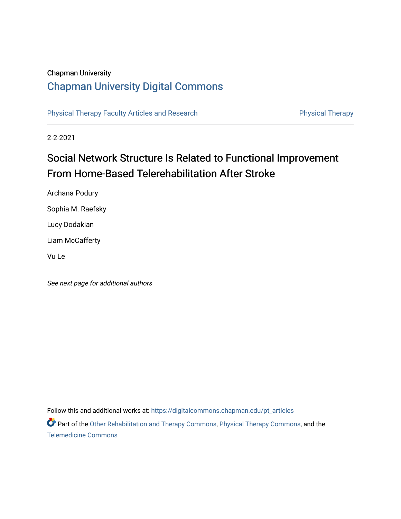## Chapman University

# [Chapman University Digital Commons](https://digitalcommons.chapman.edu/)

[Physical Therapy Faculty Articles and Research](https://digitalcommons.chapman.edu/pt_articles) **Physical Therapy** Physical Therapy

2-2-2021

# Social Network Structure Is Related to Functional Improvement From Home-Based Telerehabilitation After Stroke

Archana Podury Sophia M. Raefsky Lucy Dodakian Liam McCafferty Vu Le

See next page for additional authors

Follow this and additional works at: [https://digitalcommons.chapman.edu/pt\\_articles](https://digitalcommons.chapman.edu/pt_articles?utm_source=digitalcommons.chapman.edu%2Fpt_articles%2F148&utm_medium=PDF&utm_campaign=PDFCoverPages) 

Part of the [Other Rehabilitation and Therapy Commons,](http://network.bepress.com/hgg/discipline/758?utm_source=digitalcommons.chapman.edu%2Fpt_articles%2F148&utm_medium=PDF&utm_campaign=PDFCoverPages) [Physical Therapy Commons](http://network.bepress.com/hgg/discipline/754?utm_source=digitalcommons.chapman.edu%2Fpt_articles%2F148&utm_medium=PDF&utm_campaign=PDFCoverPages), and the [Telemedicine Commons](http://network.bepress.com/hgg/discipline/1367?utm_source=digitalcommons.chapman.edu%2Fpt_articles%2F148&utm_medium=PDF&utm_campaign=PDFCoverPages)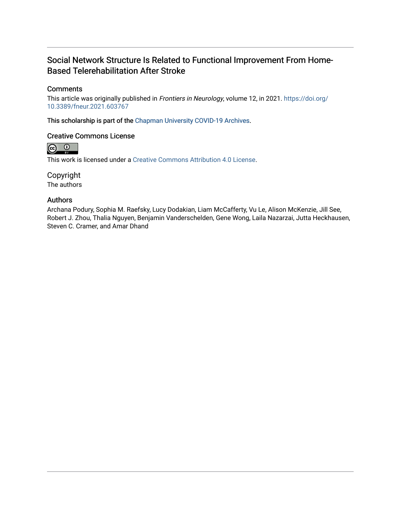# Social Network Structure Is Related to Functional Improvement From Home-Based Telerehabilitation After Stroke

#### **Comments**

This article was originally published in Frontiers in Neurology, volume 12, in 2021. [https://doi.org/](https://doi.org/10.3389/fneur.2021.603767) [10.3389/fneur.2021.603767](https://doi.org/10.3389/fneur.2021.603767)

This scholarship is part of the [Chapman University COVID-19 Archives](https://digitalcommons.chapman.edu/covid-19_archives/).

# Creative Commons License



This work is licensed under a [Creative Commons Attribution 4.0 License](https://creativecommons.org/licenses/by/4.0/).

Copyright

The authors

#### Authors

Archana Podury, Sophia M. Raefsky, Lucy Dodakian, Liam McCafferty, Vu Le, Alison McKenzie, Jill See, Robert J. Zhou, Thalia Nguyen, Benjamin Vanderschelden, Gene Wong, Laila Nazarzai, Jutta Heckhausen, Steven C. Cramer, and Amar Dhand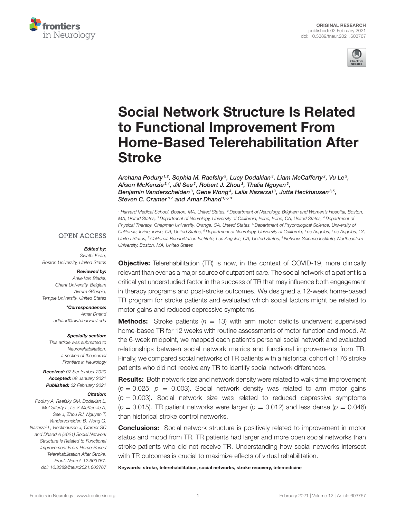



# Social Network Structure Is Related to Functional Improvement From [Home-Based Telerehabilitation After](https://www.frontiersin.org/articles/10.3389/fneur.2021.603767/full) Stroke

Archana Podury  $^{1,2}$ , Sophia M. Raefsky $^3$ , Lucy Dodakian $^3$ , Liam McCafferty $^2$ , Vu Le $^3$ , Alison McKenzie3,4, Jill See3, Robert J. Zhou3, Thalia Nguyen3, Benjamin Vanderschelden<sup>3</sup>, Gene Wong<sup>3</sup>, Laila Nazarzai<sup>3</sup>, Jutta Heckhausen<sup>3,5</sup>, Steven C. Cramer<sup>6,7</sup> and Amar Dhand<sup>1,2,8\*</sup>

*<sup>1</sup> Harvard Medical School, Boston, MA, United States, <sup>2</sup> Department of Neurology, Brigham and Women's Hospital, Boston, MA, United States, <sup>3</sup> Department of Neurology, University of California, Irvine, Irvine, CA, United States, <sup>4</sup> Department of Physical Therapy, Chapman University, Orange, CA, United States, <sup>5</sup> Department of Psychological Science, University of California, Irvine, Irvine, CA, United States, <sup>6</sup> Department of Neurology, University of California, Los Angeles, Los Angeles, CA, United States, <sup>7</sup> California Rehabilitation Institute, Los Angeles, CA, United States, <sup>8</sup> Network Science Institute, Northeastern University, Boston, MA, United States*

#### **OPEN ACCESS**

#### Edited by:

*Swathi Kiran, Boston University, United States*

#### Reviewed by:

*Anke Van Bladel, Ghent University, Belgium Avrum Gillespie, Temple University, United States*

> \*Correspondence: *Amar Dhand [adhand@bwh.harvard.edu](mailto:adhand@bwh.harvard.edu)*

#### Specialty section:

*This article was submitted to Neurorehabilitation, a section of the journal Frontiers in Neurology*

Received: *07 September 2020* Accepted: *08 January 2021* Published: *02 February 2021*

#### Citation:

*Podury A, Raefsky SM, Dodakian L, McCafferty L, Le V, McKenzie A, See J, Zhou RJ, Nguyen T, Vanderschelden B, Wong G, Nazarzai L, Heckhausen J, Cramer SC and Dhand A (2021) Social Network Structure Is Related to Functional Improvement From Home-Based Telerehabilitation After Stroke. Front. Neurol. 12:603767. doi: [10.3389/fneur.2021.603767](https://doi.org/10.3389/fneur.2021.603767)* **Objective:** Telerehabilitation (TR) is now, in the context of COVID-19, more clinically relevant than ever as a major source of outpatient care. The social network of a patient is a critical yet understudied factor in the success of TR that may influence both engagement in therapy programs and post-stroke outcomes. We designed a 12-week home-based TR program for stroke patients and evaluated which social factors might be related to motor gains and reduced depressive symptoms.

**Methods:** Stroke patients  $(n = 13)$  with arm motor deficits underwent supervised home-based TR for 12 weeks with routine assessments of motor function and mood. At the 6-week midpoint, we mapped each patient's personal social network and evaluated relationships between social network metrics and functional improvements from TR. Finally, we compared social networks of TR patients with a historical cohort of 176 stroke patients who did not receive any TR to identify social network differences.

Results: Both network size and network density were related to walk time improvement  $(p = 0.025; p = 0.003)$ . Social network density was related to arm motor gains  $(p = 0.003)$ . Social network size was related to reduced depressive symptoms  $(p = 0.015)$ . TR patient networks were larger  $(p = 0.012)$  and less dense  $(p = 0.046)$ than historical stroke control networks.

**Conclusions:** Social network structure is positively related to improvement in motor status and mood from TR. TR patients had larger and more open social networks than stroke patients who did not receive TR. Understanding how social networks intersect with TR outcomes is crucial to maximize effects of virtual rehabilitation.

Keywords: stroke, telerehabilitation, social networks, stroke recovery, telemedicine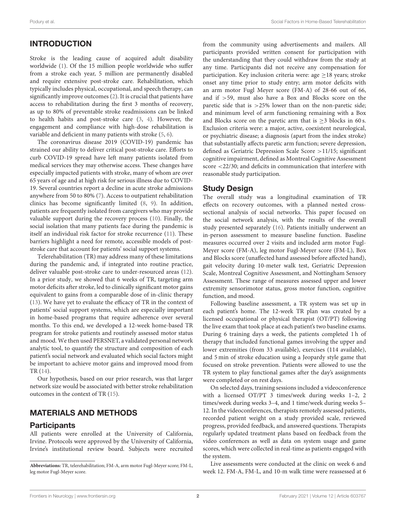## INTRODUCTION

Stroke is the leading cause of acquired adult disability worldwide [\(1\)](#page-8-0). Of the 15 million people worldwide who suffer from a stroke each year, 5 million are permanently disabled and require extensive post-stroke care. Rehabilitation, which typically includes physical, occupational, and speech therapy, can significantly improve outcomes [\(2\)](#page-8-1). It is crucial that patients have access to rehabilitation during the first 3 months of recovery, as up to 80% of preventable stroke readmissions can be linked to health habits and post-stroke care [\(3,](#page-8-2) [4\)](#page-8-3). However, the engagement and compliance with high-dose rehabilitation is variable and deficient in many patients with stroke [\(5,](#page-9-0) [6\)](#page-9-1).

The coronavirus disease 2019 (COVID-19) pandemic has strained our ability to deliver critical post-stroke care. Efforts to curb COVID-19 spread have left many patients isolated from medical services they may otherwise access. These changes have especially impacted patients with stroke, many of whom are over 65 years of age and at high risk for serious illness due to COVID-19. Several countries report a decline in acute stroke admissions anywhere from 50 to 80% [\(7\)](#page-9-2). Access to outpatient rehabilitation clinics has become significantly limited [\(8,](#page-9-3) [9\)](#page-9-4). In addition, patients are frequently isolated from caregivers who may provide valuable support during the recovery process [\(10\)](#page-9-5). Finally, the social isolation that many patients face during the pandemic is itself an individual risk factor for stroke recurrence [\(11\)](#page-9-6). These barriers highlight a need for remote, accessible models of poststroke care that account for patients' social support systems.

Telerehabilitation (TR) may address many of these limitations during the pandemic and, if integrated into routine practice, deliver valuable post-stroke care to under-resourced areas [\(12\)](#page-9-7). In a prior study, we showed that 6 weeks of TR, targeting arm motor deficits after stroke, led to clinically significant motor gains equivalent to gains from a comparable dose of in-clinic therapy [\(13\)](#page-9-8). We have yet to evaluate the efficacy of TR in the context of patients' social support systems, which are especially important in home-based programs that require adherence over several months. To this end, we developed a 12-week home-based TR program for stroke patients and routinely assessed motor status and mood. We then used PERSNET, a validated personal network analytic tool, to quantify the structure and composition of each patient's social network and evaluated which social factors might be important to achieve motor gains and improved mood from TR [\(14\)](#page-9-9).

Our hypothesis, based on our prior research, was that larger network size would be associated with better stroke rehabilitation outcomes in the context of TR [\(15\)](#page-9-10).

#### MATERIALS AND METHODS

#### **Participants**

All patients were enrolled at the University of California, Irvine. Protocols were approved by the University of California, Irvine's institutional review board. Subjects were recruited from the community using advertisements and mailers. All participants provided written consent for participation with the understanding that they could withdraw from the study at any time. Participants did not receive any compensation for participation. Key inclusion criteria were: age  $\geq$  18 years; stroke onset any time prior to study entry; arm motor deficits with an arm motor Fugl Meyer score (FM-A) of 28-66 out of 66, and if >59, must also have a Box and Blocks score on the paretic side that is  $>25\%$  lower than on the non-paretic side; and minimum level of arm functioning remaining with a Box and Blocks score on the paretic arm that is  $>$ 3 blocks in 60 s. Exclusion criteria were: a major, active, coexistent neurological, or psychiatric disease; a diagnosis (apart from the index stroke) that substantially affects paretic arm function; severe depression, defined as Geriatric Depression Scale Score >11/15; significant cognitive impairment, defined as Montreal Cognitive Assessment score <22/30; and deficits in communication that interfere with reasonable study participation.

#### Study Design

The overall study was a longitudinal examination of TR effects on recovery outcomes, with a planned nested crosssectional analysis of social networks. This paper focused on the social network analysis, with the results of the overall study presented separately [\(16\)](#page-9-11). Patients initially underwent an in-person assessment to measure baseline function. Baseline measures occurred over 2 visits and included arm motor Fugl-Meyer score (FM-A), leg motor Fugl-Meyer score (FM-L), Box and Blocks score (unaffected hand assessed before affected hand), gait velocity during 10-meter walk test, Geriatric Depression Scale, Montreal Cognitive Assessment, and Nottingham Sensory Assessment. These range of measures assessed upper and lower extremity sensorimotor status, gross motor function, cognitive function, and mood.

Following baseline assessment, a TR system was set up in each patient's home. The 12-week TR plan was created by a licensed occupational or physical therapist (OT/PT) following the live exam that took place at each patient's two baseline exams. During 6 training days a week, the patients completed 1 h of therapy that included functional games involving the upper and lower extremities (from 33 available), exercises (114 available), and 5 min of stroke education using a Jeopardy style game that focused on stroke prevention. Patients were allowed to use the TR system to play functional games after the day's assignments were completed or on rest days.

On selected days, training sessions included a videoconference with a licensed OT/PT 3 times/week during weeks 1–2, 2 times/week during weeks 3–4, and 1 time/week during weeks 5– 12. In the videoconferences, therapists remotely assessed patients, recorded patient weight on a study provided scale, reviewed progress, provided feedback, and answered questions. Therapists regularly updated treatment plans based on feedback from the video conferences as well as data on system usage and game scores, which were collected in real-time as patients engaged with the system.

Live assessments were conducted at the clinic on week 6 and week 12. FM-A, FM-L, and 10-m walk time were reassessed at 6

**Abbreviations:** TR, telerehabilitation; FM-A, arm motor Fugl-Meyer score; FM-L, leg motor Fugl-Meyer score.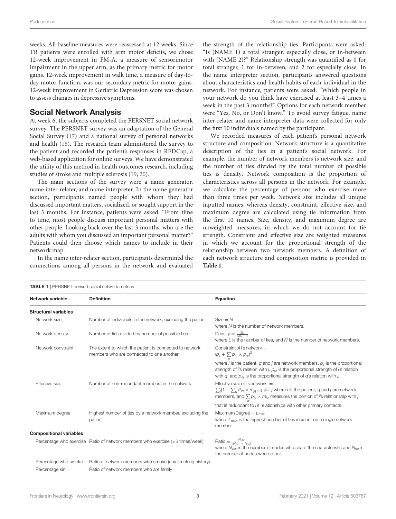weeks. All baseline measures were reassessed at 12 weeks. Since TR patients were enrolled with arm motor deficits, we chose 12-week improvement in FM-A, a measure of sensorimotor impairment in the upper arm, as the primary metric for motor gains. 12-week improvement in walk time, a measure of day-today motor function, was our secondary metric for motor gains. 12-week improvement in Geriatric Depression score was chosen to assess changes in depressive symptoms.

#### Social Network Analysis

At week 6, the subjects completed the PERSNET social network survey. The PERSNET survey was an adaptation of the General Social Survey [\(17\)](#page-9-12) and a national survey of personal networks and health [\(18\)](#page-9-13). The research team administered the survey to the patient and recorded the patient's responses in REDCap, a web-based application for online surveys. We have demonstrated the utility of this method in health outcomes research, including studies of stroke and multiple sclerosis [\(19,](#page-9-14) [20\)](#page-9-15).

The main sections of the survey were a name generator, name inter-relater, and name interpreter. In the name generator section, participants named people with whom they had discussed important matters, socialized, or sought support in the last 3 months. For instance, patients were asked: "From time to time, most people discuss important personal matters with other people. Looking back over the last 3 months, who are the adults with whom you discussed an important personal matter?" Patients could then choose which names to include in their network map.

In the name inter-relater section, participants determined the connections among all persons in the network and evaluated the strength of the relationship ties. Participants were asked: "Is (NAME 1) a total stranger, especially close, or in-between with (NAME 2)?" Relationship strength was quantified as 0 for total stranger, 1 for in-between, and 2 for especially close. In the name interpreter section, participants answered questions about characteristics and health habits of each individual in the network. For instance, patients were asked: "Which people in your network do you think have exercised at least 3–4 times a week in the past 3 months?" Options for each network member were "Yes, No, or Don't know." To avoid survey fatigue, name inter-relater and name interpreter data were collected for only the first 10 individuals named by the participant.

We recorded measures of each patient's personal network structure and composition. Network structure is a quantitative description of the ties in a patient's social network. For example, the number of network members is network size, and the number of ties divided by the total number of possible ties is density. Network composition is the proportion of characteristics across all persons in the network. For example, we calculate the percentage of persons who exercise more than three times per week. Network size includes all unique inputted names, whereas density, constraint, effective size, and maximum degree are calculated using tie information from the first 10 names. Size, density, and maximum degree are unweighted measures, in which we do not account for tie strength. Constraint and effective size are weighted measures in which we account for the proportional strength of the relationship between two network members. A definition of each network structure and composition metric is provided in **[Table 1](#page-4-0)**.

<span id="page-4-0"></span>

| <b>TABLE 1</b>   PERSNET-derived social network metrics. |                                                                                                     |                                                                                                                                                                                                                                                                        |  |
|----------------------------------------------------------|-----------------------------------------------------------------------------------------------------|------------------------------------------------------------------------------------------------------------------------------------------------------------------------------------------------------------------------------------------------------------------------|--|
| Network variable                                         | <b>Definition</b>                                                                                   | Equation                                                                                                                                                                                                                                                               |  |
| <b>Structural variables</b>                              |                                                                                                     |                                                                                                                                                                                                                                                                        |  |
| Network size                                             | Number of individuals in the network, excluding the patient                                         | $Size = N$<br>where N is the number of network members.                                                                                                                                                                                                                |  |
| Network density                                          | Number of ties divided by number of possible ties                                                   | Density = $\frac{2L}{N(N-1)}$<br>where $L$ is the number of ties, and $N$ is the number of network members.                                                                                                                                                            |  |
| Network constraint                                       | The extent to which the patient is connected to network<br>members who are connected to one another | Constraint of i s network $=$<br>$(p_{ij} + \sum p_{iq} \times p_{qi})^2$                                                                                                                                                                                              |  |
|                                                          |                                                                                                     | where <i>i</i> is the patient, q and <i>j</i> are network members, $p_{ij}$ is the proportional<br>strength of i's relation with j, $p_{iq}$ is the proportional strength of i's relation<br>with q, and $p_{qi}$ is the proportional strength of q's relation with j. |  |
| Effective size                                           | Number of non-redundant members in the network                                                      | Effective size of $/$ s network $=$<br>$\sum_i [1 - \sum_{\alpha} P_{iq} \times m_{iq}], q \neq i, j$ where i is the patient, q and j are network<br>members, and $\sum p_{iq} \times m_{jq}$ measures the portion of <i>i</i> 's relationship with <i>j</i>           |  |
|                                                          |                                                                                                     | that is redundant to i's relationships with other primary contacts.                                                                                                                                                                                                    |  |
| Maximum degree                                           | Highest number of ties by a network member, excluding the<br>patient                                | Maximum Degree $= L_{\text{max}}$<br>where $L_{\text{max}}$ is the highest number of ties incident on a single network<br>member.                                                                                                                                      |  |
| <b>Compositional variables</b>                           |                                                                                                     |                                                                                                                                                                                                                                                                        |  |
|                                                          | Percentage who exercise Ratio of network members who exercise (>3 times/week)                       | Ratio = $\frac{N_{\text{yes}}}{(N_{\text{yes}} + N_{\text{no}})}$<br>where $N_{\text{ves}}$ is the number of nodes who share the characteristic and $N_{\text{no}}$ is<br>the number of nodes who do not.                                                              |  |
| Percentage who smoke                                     | Ratio of network members who smoke (any smoking history)                                            |                                                                                                                                                                                                                                                                        |  |
| Percentage kin                                           | Ratio of network members who are family                                                             |                                                                                                                                                                                                                                                                        |  |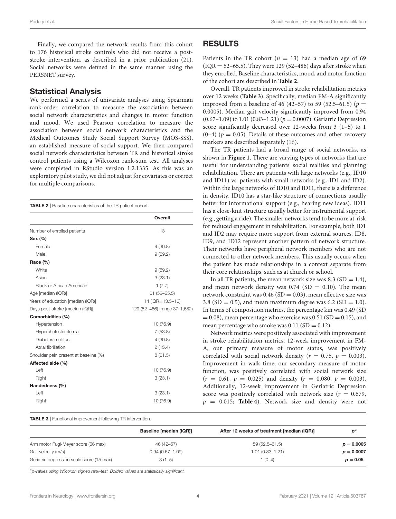Finally, we compared the network results from this cohort to 176 historical stroke controls who did not receive a poststroke intervention, as described in a prior publication [\(21\)](#page-9-16). Social networks were defined in the same manner using the PERSNET survey.

#### Statistical Analysis

We performed a series of univariate analyses using Spearman rank-order correlation to measure the association between social network characteristics and changes in motor function and mood. We used Pearson correlation to measure the association between social network characteristics and the Medical Outcomes Study Social Support Survey (MOS-SSS), an established measure of social support. We then compared social network characteristics between TR and historical stroke control patients using a Wilcoxon rank-sum test. All analyses were completed in RStudio version 1.2.1335. As this was an exploratory pilot study, we did not adjust for covariates or correct for multiple comparisons.

<span id="page-5-0"></span>TABLE 2 | Baseline characteristics of the TR patient cohort.

|                                       | Overall                       |
|---------------------------------------|-------------------------------|
| Number of enrolled patients           | 13                            |
| Sex (%)                               |                               |
| Female                                | 4(30.8)                       |
| Male                                  | 9(69.2)                       |
| Race (%)                              |                               |
| White                                 | 9(69.2)                       |
| Asian                                 | 3(23.1)                       |
| <b>Black or African American</b>      | 1(7.7)                        |
| Age [median (IQR)]                    | $61(52 - 65.5)$               |
| Years of education [median (IQR)]     | 14 (IQR=13.5-16)              |
| Days post-stroke [median (IQR)]       | 129 (52-486) (range 37-1,682) |
| Comorbidities (%)                     |                               |
| Hypertension                          | 10 (76.9)                     |
| Hypercholesterolemia                  | 7(53.8)                       |
| Diabetes mellitus                     | 4(30.8)                       |
| Atrial fibrillation                   | 2(15.4)                       |
| Shoulder pain present at baseline (%) | 8(61.5)                       |
| Affected side (%)                     |                               |
| Left                                  | 10 (76.9)                     |
| Right                                 | 3(23.1)                       |
| Handedness (%)                        |                               |
| Left                                  | 3(23.1)                       |
| Right                                 | 10 (76.9)                     |
|                                       |                               |

#### RESULTS

Patients in the TR cohort ( $n = 13$ ) had a median age of 69  $(IOR = 52-65.5)$ . They were 129 (52-486) days after stroke when they enrolled. Baseline characteristics, mood, and motor function of the cohort are described in **[Table 2](#page-5-0)**.

Overall, TR patients improved in stroke rehabilitation metrics over 12 weeks (**[Table 3](#page-5-1)**). Specifically, median FM-A significantly improved from a baseline of 46 (42–57) to 59 (52.5–61.5) ( $p =$ 0.0005). Median gait velocity significantly improved from 0.94  $(0.67-1.09)$  to 1.01  $(0.83-1.21)$   $(p = 0.0007)$ . Geriatric Depression score significantly decreased over 12-weeks from 3 (1–5) to 1  $(0-4)$  ( $p = 0.05$ ). Details of these outcomes and other recovery markers are described separately [\(16\)](#page-9-11).

The TR patients had a broad range of social networks, as shown in **[Figure 1](#page-6-0)**. There are varying types of networks that are useful for understanding patients' social realities and planning rehabilitation. There are patients with large networks (e.g., ID10 and ID11) vs. patients with small networks (e.g., ID1 and ID2). Within the large networks of ID10 and ID11, there is a difference in density. ID10 has a star-like structure of connections usually better for informational support (e.g., hearing new ideas). ID11 has a close-knit structure usually better for instrumental support (e.g., getting a ride). The smaller networks tend to be more at-risk for reduced engagement in rehabilitation. For example, both ID1 and ID2 may require more support from external sources. ID8, ID9, and ID12 represent another pattern of network structure. Their networks have peripheral network members who are not connected to other network members. This usually occurs when the patient has made relationships in a context separate from their core relationships, such as at church or school.

In all TR patients, the mean network size was 8.3 ( $SD = 1.4$ ), and mean network density was  $0.74$  (SD = 0.10). The mean network constraint was  $0.46$  (SD = 0.03), mean effective size was 3.8 (SD = 0.5), and mean maximum degree was 6.2 (SD = 1.0). In terms of composition metrics, the percentage kin was 0.49 (SD  $= 0.08$ ), mean percentage who exercise was 0.51 (SD = 0.15), and mean percentage who smoke was  $0.11$  (SD =  $0.12$ ).

Network metrics were positively associated with improvement in stroke rehabilitation metrics. 12-week improvement in FM-A, our primary measure of motor status, was positively correlated with social network density ( $r = 0.75$ ,  $p = 0.003$ ). Improvement in walk time, our secondary measure of motor function, was positively correlated with social network size  $(r = 0.61, p = 0.025)$  and density  $(r = 0.080, p = 0.003)$ . Additionally, 12-week improvement in Geriatric Depression score was positively correlated with network size ( $r = 0.679$ ,  $p = 0.015$ ; **[Table 4](#page-7-0)**). Network size and density were not

<span id="page-5-1"></span>TABLE 3 | Functional improvement following TR intervention.

|                                           | <b>Baseline [median (IQR)]</b> | After 12 weeks of treatment [median (IQR)] | p <sup>d</sup> |
|-------------------------------------------|--------------------------------|--------------------------------------------|----------------|
| Arm motor Fugl-Meyer score (66 max)       | 46 (42-57)                     | 59 (52.5–61.5)                             | $p = 0.0005$   |
| Gait velocity (m/s)                       | $0.94(0.67 - 1.09)$            | $1.01(0.83 - 1.21)$                        | $p = 0.0007$   |
| Geriatric depression scale score (15 max) | $3(1-5)$                       | 1 (0-4)                                    | $p = 0.05$     |

*<sup>a</sup>p-values using Wilcoxon signed rank-test. Bolded values are statistically significant.*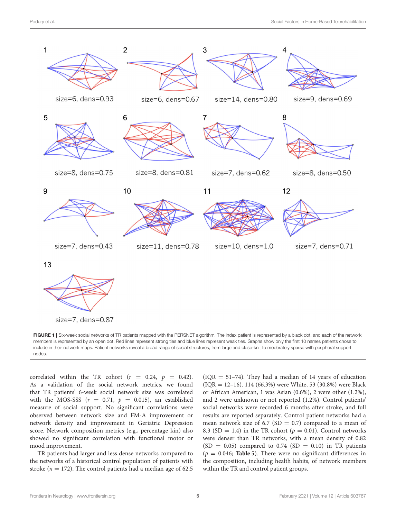

<span id="page-6-0"></span>include in their network maps. Patient networks reveal a broad range of social structures, from large and close-knit to moderately sparse with peripheral support nodes.

correlated within the TR cohort ( $r = 0.24$ ,  $p = 0.42$ ). As a validation of the social network metrics, we found that TR patients' 6-week social network size was correlated with the MOS-SSS ( $r = 0.71$ ,  $p = 0.015$ ), an established measure of social support. No significant correlations were observed between network size and FM-A improvement or network density and improvement in Geriatric Depression score. Network composition metrics (e.g., percentage kin) also showed no significant correlation with functional motor or mood improvement.

TR patients had larger and less dense networks compared to the networks of a historical control population of patients with stroke ( $n = 172$ ). The control patients had a median age of 62.5  $( IQR = 51-74).$  They had a median of 14 years of education (IQR = 12–16). 114 (66.3%) were White, 53 (30.8%) were Black or African American, 1 was Asian (0.6%), 2 were other (1.2%), and 2 were unknown or not reported (1.2%). Control patients' social networks were recorded 6 months after stroke, and full results are reported separately. Control patient networks had a mean network size of 6.7 (SD = 0.7) compared to a mean of 8.3 (SD = 1.4) in the TR cohort ( $p = 0.01$ ). Control networks were denser than TR networks, with a mean density of 0.82  $(SD = 0.05)$  compared to 0.74  $(SD = 0.10)$  in TR patients  $(p = 0.046;$  **[Table 5](#page-7-1)**). There were no significant differences in the composition, including health habits, of network members within the TR and control patient groups.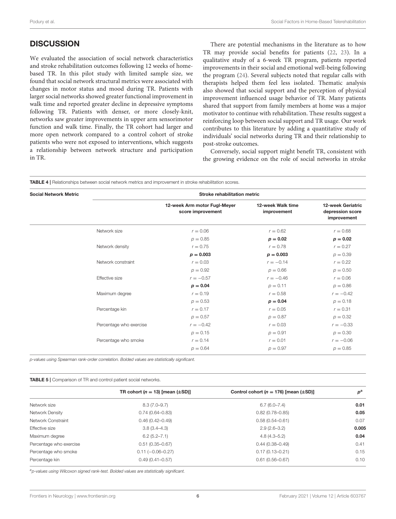## **DISCUSSION**

We evaluated the association of social network characteristics and stroke rehabilitation outcomes following 12 weeks of homebased TR. In this pilot study with limited sample size, we found that social network structural metrics were associated with changes in motor status and mood during TR. Patients with larger social networks showed greater functional improvement in walk time and reported greater decline in depressive symptoms following TR. Patients with denser, or more closely-knit, networks saw greater improvements in upper arm sensorimotor function and walk time. Finally, the TR cohort had larger and more open network compared to a control cohort of stroke patients who were not exposed to interventions, which suggests a relationship between network structure and participation in TR.

There are potential mechanisms in the literature as to how TR may provide social benefits for patients [\(22,](#page-9-17) [23\)](#page-9-18). In a qualitative study of a 6-week TR program, patients reported improvements in their social and emotional well-being following the program [\(24\)](#page-9-19). Several subjects noted that regular calls with therapists helped them feel less isolated. Thematic analysis also showed that social support and the perception of physical improvement influenced usage behavior of TR. Many patients shared that support from family members at home was a major motivator to continue with rehabilitation. These results suggest a reinforcing loop between social support and TR usage. Our work contributes to this literature by adding a quantitative study of individuals' social networks during TR and their relationship to post-stroke outcomes.

Conversely, social support might benefit TR, consistent with the growing evidence on the role of social networks in stroke

<span id="page-7-0"></span>

| <b>Social Network Metric</b> |                         | <b>Stroke rehabilitation metric</b>               |                                  |                                                             |
|------------------------------|-------------------------|---------------------------------------------------|----------------------------------|-------------------------------------------------------------|
|                              |                         | 12-week Arm motor Fugl-Meyer<br>score improvement | 12-week Walk time<br>improvement | <b>12-week Geriatric</b><br>depression score<br>improvement |
|                              | Network size            | $r = 0.06$                                        | $r = 0.62$                       | $r = 0.68$                                                  |
|                              |                         | $p = 0.85$                                        | $p = 0.02$                       | $p = 0.02$                                                  |
|                              | Network density         | $r = 0.75$                                        | $r = 0.78$                       | $r = 0.27$                                                  |
|                              |                         | $p = 0.003$                                       | $p = 0.003$                      | $p = 0.39$                                                  |
|                              | Network constraint      | $r = 0.03$                                        | $r = -0.14$                      | $r = 0.22$                                                  |
|                              |                         | $p = 0.92$                                        | $p = 0.66$                       | $p = 0.50$                                                  |
|                              | Effective size          | $r = -0.57$                                       | $r = -0.46$                      | $r = 0.06$                                                  |
|                              |                         | $p = 0.04$                                        | $p = 0.11$                       | $p = 0.86$                                                  |
|                              | Maximum degree          | $r = 0.19$                                        | $r = 0.58$                       | $r = -0.42$                                                 |
|                              |                         | $p = 0.53$                                        | $p = 0.04$                       | $p = 0.18$                                                  |
|                              | Percentage kin          | $r = 0.17$                                        | $r = 0.05$                       | $r = 0.31$                                                  |
|                              |                         | $p = 0.57$                                        | $p = 0.87$                       | $p = 0.32$                                                  |
|                              | Percentage who exercise | $r = -0.42$                                       | $r = 0.03$                       | $r = -0.33$                                                 |
|                              |                         | $p = 0.15$                                        | $p = 0.91$                       | $p = 0.30$                                                  |
|                              | Percentage who smoke    | $r = 0.14$                                        | $r = 0.01$                       | $r = -0.06$                                                 |
|                              |                         | $p = 0.64$                                        | $p = 0.97$                       | $p = 0.85$                                                  |

*p-values using Spearman rank-order correlation. Bolded values are statistically significant.*

<span id="page-7-1"></span>

|  |  |  |  | TABLE 5   Comparison of TR and control patient social networks. |
|--|--|--|--|-----------------------------------------------------------------|
|--|--|--|--|-----------------------------------------------------------------|

|                         | TR cohort ( $n = 13$ ) [mean ( $\pm$ SD)] | Control cohort ( $n = 176$ ) [mean ( $\pm$ SD)] | $p^{\rm a}$ |
|-------------------------|-------------------------------------------|-------------------------------------------------|-------------|
| Network size            | $8.3(7.0 - 9.7)$                          | $6.7(6.0 - 7.4)$                                | 0.01        |
| Network Density         | $0.74(0.64 - 0.83)$                       | $0.82(0.78 - 0.85)$                             | 0.05        |
| Network Constraint      | $0.46(0.42 - 0.49)$                       | $0.58(0.54 - 0.61)$                             | 0.07        |
| Effective size          | $3.8(3.4 - 4.3)$                          | $2.9(2.6-3.2)$                                  | 0.005       |
| Maximum degree          | $6.2(5.2 - 7.1)$                          | $4.8(4.3 - 5.2)$                                | 0.04        |
| Percentage who exercise | $0.51(0.35 - 0.67)$                       | $0.44(0.38 - 0.49)$                             | 0.41        |
| Percentage who smoke    | $0.11 (-0.06 - 0.27)$                     | $0.17(0.13 - 0.21)$                             | 0.15        |
| Percentage kin          | $0.49(0.41 - 0.57)$                       | $0.61(0.56 - 0.67)$                             | 0.10        |
|                         |                                           |                                                 |             |

*<sup>a</sup>p-values using Wilcoxon signed rank-test. Bolded values are statistically significant.*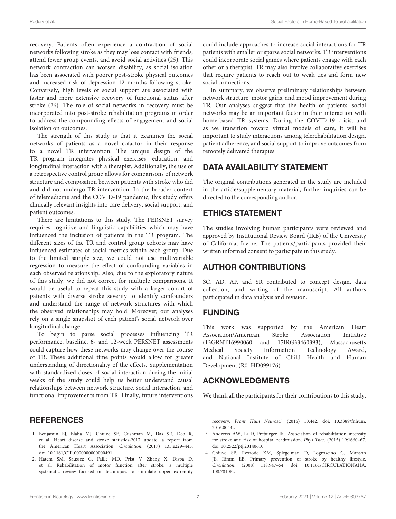recovery. Patients often experience a contraction of social networks following stroke as they may lose contact with friends, attend fewer group events, and avoid social activities [\(25\)](#page-9-20). This network contraction can worsen disability, as social isolation has been associated with poorer post-stroke physical outcomes and increased risk of depression 12 months following stroke. Conversely, high levels of social support are associated with faster and more extensive recovery of functional status after stroke [\(26\)](#page-9-21). The role of social networks in recovery must be incorporated into post-stroke rehabilitation programs in order to address the compounding effects of engagement and social isolation on outcomes.

The strength of this study is that it examines the social networks of patients as a novel cofactor in their response to a novel TR intervention. The unique design of the TR program integrates physical exercises, education, and longitudinal interaction with a therapist. Additionally, the use of a retrospective control group allows for comparisons of network structure and composition between patients with stroke who did and did not undergo TR intervention. In the broader context of telemedicine and the COVID-19 pandemic, this study offers clinically relevant insights into care delivery, social support, and patient outcomes.

There are limitations to this study. The PERSNET survey requires cognitive and linguistic capabilities which may have influenced the inclusion of patients in the TR program. The different sizes of the TR and control group cohorts may have influenced estimates of social metrics within each group. Due to the limited sample size, we could not use multivariable regression to measure the effect of confounding variables in each observed relationship. Also, due to the exploratory nature of this study, we did not correct for multiple comparisons. It would be useful to repeat this study with a larger cohort of patients with diverse stroke severity to identify confounders and understand the range of network structures with which the observed relationships may hold. Moreover, our analyses rely on a single snapshot of each patient's social network over longitudinal change.

To begin to parse social processes influencing TR performance, baseline, 6- and 12-week PERSNET assessments could capture how these networks may change over the course of TR. These additional time points would allow for greater understanding of directionality of the effects. Supplementation with standardized doses of social interaction during the initial weeks of the study could help us better understand causal relationships between network structure, social interaction, and functional improvements from TR. Finally, future interventions

# **REFERENCES**

- <span id="page-8-0"></span>1. Benjamin EJ, Blaha MJ, Chiuve SE, Cushman M, Das SR, Deo R, et al. Heart disease and stroke statistics-2017 update: a report from the American Heart Association. Circulation. (2017) 135:e229–445. doi: [10.1161/CIR.0000000000000491](https://doi.org/10.1161/CIR.0000000000000491)
- <span id="page-8-1"></span>2. Hatem SM, Saussez G, Faille MD, Prist V, Zhang X, Dispa D, et al. Rehabilitation of motor function after stroke: a multiple systematic review focused on techniques to stimulate upper extremity

could include approaches to increase social interactions for TR patients with smaller or sparse social networks. TR interventions could incorporate social games where patients engage with each other or a therapist. TR may also involve collaborative exercises that require patients to reach out to weak ties and form new social connections.

In summary, we observe preliminary relationships between network structure, motor gains, and mood improvement during TR. Our analyses suggest that the health of patients' social networks may be an important factor in their interaction with home-based TR systems. During the COVID-19 crisis, and as we transition toward virtual models of care, it will be important to study interactions among telerehabilitation design, patient adherence, and social support to improve outcomes from remotely delivered therapies.

# DATA AVAILABILITY STATEMENT

The original contributions generated in the study are included in the article/supplementary material, further inquiries can be directed to the corresponding author.

# ETHICS STATEMENT

The studies involving human participants were reviewed and approved by Institutional Review Board (IRB) of the University of California, Irvine. The patients/participants provided their written informed consent to participate in this study.

# AUTHOR CONTRIBUTIONS

SC, AD, AP, and SR contributed to concept design, data collection, and writing of the manuscript. All authors participated in data analysis and revision.

## FUNDING

This work was supported by the American Heart Association/American Stroke Association Initiative (13GRNT16990060 and 17IRG33460393), Massachusetts Medical Society Information Technology Award, and National Institute of Child Health and Human Development (R01HD099176).

# ACKNOWLEDGMENTS

We thank all the participants for their contributions to this study.

recovery. Front Hum Neurosci[. \(2016\) 10:442. doi: 10.3389/fnhum.](https://doi.org/10.3389/fnhum.2016.00442) 2016.00442

- <span id="page-8-2"></span>3. Andrews AW, Li D, Freburger JK. Association of rehabilitation intensity for stroke and risk of hospital readmission. Phys Ther. (2015) 19:1660–67. doi: [10.2522/ptj.20140610](https://doi.org/10.2522/ptj.20140610)
- <span id="page-8-3"></span>4. Chiuve SE, Rexrode KM, Spiegelman D, Logroscino G, Manson JE, Rimm EB. Primary prevention of stroke by healthy lifestyle. Circulation[. \(2008\) 118:947–54. doi: 10.1161/CIRCULATIONAHA.](https://doi.org/10.1161/CIRCULATIONAHA.108.781062) 108.781062